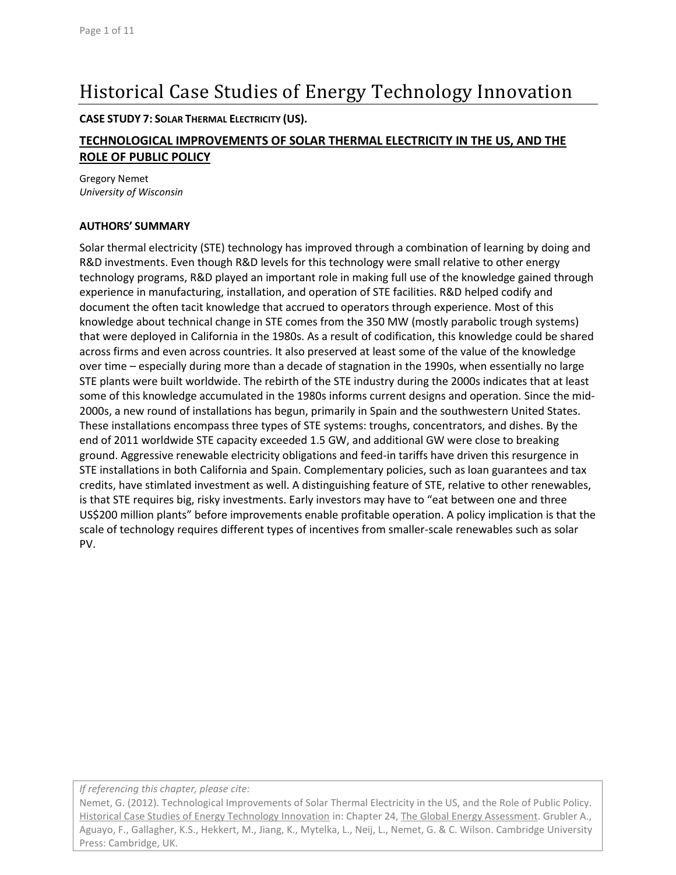# Historical Case Studies of Energy Technology Innovation

**CASE STUDY 7: SOLAR THERMAL ELECTRICITY (US).**

# **TECHNOLOGICAL IMPROVEMENTS OF SOLAR THERMAL ELECTRICITY IN THE US, AND THE ROLE OF PUBLIC POLICY**

Gregory Nemet *University of Wisconsin*

#### **AUTHORS' SUMMARY**

Solar thermal electricity (STE) technology has improved through a combination of learning by doing and R&D investments. Even though R&D levels for this technology were small relative to other energy technology programs, R&D played an important role in making full use of the knowledge gained through experience in manufacturing, installation, and operation of STE facilities. R&D helped codify and document the often tacit knowledge that accrued to operators through experience. Most of this knowledge about technical change in STE comes from the 350 MW (mostly parabolic trough systems) that were deployed in California in the 1980s. As a result of codification, this knowledge could be shared across firms and even across countries. It also preserved at least some of the value of the knowledge over time – especially during more than a decade of stagnation in the 1990s, when essentially no large STE plants were built worldwide. The rebirth of the STE industry during the 2000s indicates that at least some of this knowledge accumulated in the 1980s informs current designs and operation. Since the mid-2000s, a new round of installations has begun, primarily in Spain and the southwestern United States. These installations encompass three types of STE systems: troughs, concentrators, and dishes. By the end of 2011 worldwide STE capacity exceeded 1.5 GW, and additional GW were close to breaking ground. Aggressive renewable electricity obligations and feed-in tariffs have driven this resurgence in STE installations in both California and Spain. Complementary policies, such as loan guarantees and tax credits, have stimlated investment as well. A distinguishing feature of STE, relative to other renewables, is that STE requires big, risky investments. Early investors may have to "eat between one and three US\$200 million plants" before improvements enable profitable operation. A policy implication is that the scale of technology requires different types of incentives from smaller-scale renewables such as solar PV.

*If referencing this chapter, please cite:*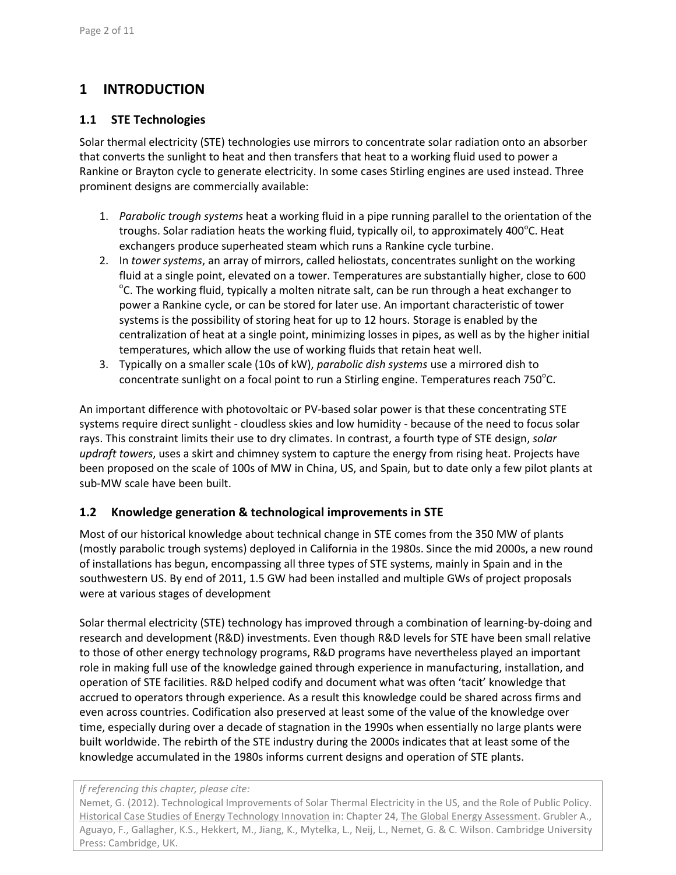# **1 INTRODUCTION**

### **1.1 STE Technologies**

Solar thermal electricity (STE) technologies use mirrors to concentrate solar radiation onto an absorber that converts the sunlight to heat and then transfers that heat to a working fluid used to power a Rankine or Brayton cycle to generate electricity. In some cases Stirling engines are used instead. Three prominent designs are commercially available:

- 1. *Parabolic trough systems* heat a working fluid in a pipe running parallel to the orientation of the troughs. Solar radiation heats the working fluid, typically oil, to approximately 400<sup>o</sup>C. Heat exchangers produce superheated steam which runs a Rankine cycle turbine.
- 2. In *tower systems*, an array of mirrors, called heliostats, concentrates sunlight on the working fluid at a single point, elevated on a tower. Temperatures are substantially higher, close to 600 <sup>o</sup>C. The working fluid, typically a molten nitrate salt, can be run through a heat exchanger to power a Rankine cycle, or can be stored for later use. An important characteristic of tower systems is the possibility of storing heat for up to 12 hours. Storage is enabled by the centralization of heat at a single point, minimizing losses in pipes, as well as by the higher initial temperatures, which allow the use of working fluids that retain heat well.
- 3. Typically on a smaller scale (10s of kW), *parabolic dish systems* use a mirrored dish to concentrate sunlight on a focal point to run a Stirling engine. Temperatures reach 750 $^{\circ}$ C.

An important difference with photovoltaic or PV-based solar power is that these concentrating STE systems require direct sunlight - cloudless skies and low humidity - because of the need to focus solar rays. This constraint limits their use to dry climates. In contrast, a fourth type of STE design, *solar updraft towers*, uses a skirt and chimney system to capture the energy from rising heat. Projects have been proposed on the scale of 100s of MW in China, US, and Spain, but to date only a few pilot plants at sub-MW scale have been built.

# **1.2 Knowledge generation & technological improvements in STE**

Most of our historical knowledge about technical change in STE comes from the 350 MW of plants (mostly parabolic trough systems) deployed in California in the 1980s. Since the mid 2000s, a new round of installations has begun, encompassing all three types of STE systems, mainly in Spain and in the southwestern US. By end of 2011, 1.5 GW had been installed and multiple GWs of project proposals were at various stages of development

Solar thermal electricity (STE) technology has improved through a combination of learning-by-doing and research and development (R&D) investments. Even though R&D levels for STE have been small relative to those of other energy technology programs, R&D programs have nevertheless played an important role in making full use of the knowledge gained through experience in manufacturing, installation, and operation of STE facilities. R&D helped codify and document what was often 'tacit' knowledge that accrued to operators through experience. As a result this knowledge could be shared across firms and even across countries. Codification also preserved at least some of the value of the knowledge over time, especially during over a decade of stagnation in the 1990s when essentially no large plants were built worldwide. The rebirth of the STE industry during the 2000s indicates that at least some of the knowledge accumulated in the 1980s informs current designs and operation of STE plants.

#### *If referencing this chapter, please cite:*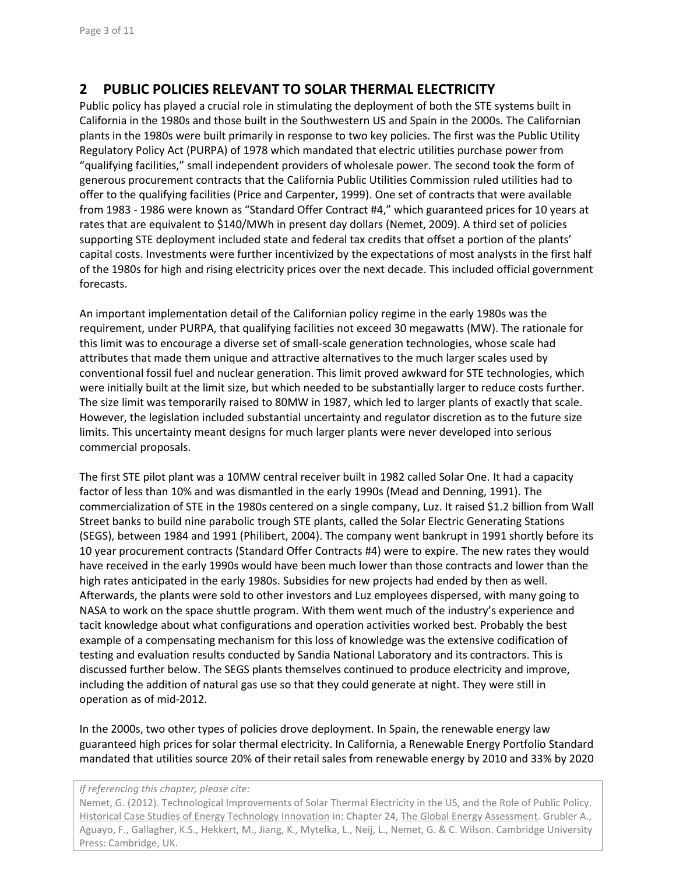# **2 PUBLIC POLICIES RELEVANT TO SOLAR THERMAL ELECTRICITY**

Public policy has played a crucial role in stimulating the deployment of both the STE systems built in California in the 1980s and those built in the Southwestern US and Spain in the 2000s. The Californian plants in the 1980s were built primarily in response to two key policies. The first was the Public Utility Regulatory Policy Act (PURPA) of 1978 which mandated that electric utilities purchase power from "qualifying facilities," small independent providers of wholesale power. The second took the form of generous procurement contracts that the California Public Utilities Commission ruled utilities had to offer to the qualifying facilities [\(Price and Carpenter, 1999\)](#page-10-0). One set of contracts that were available from 1983 - 1986 were known as "Standard Offer Contract #4," which guaranteed prices for 10 years at rates that are equivalent to \$140/MWh in present day dollars [\(Nemet, 2009\)](#page-10-1). A third set of policies supporting STE deployment included state and federal tax credits that offset a portion of the plants' capital costs. Investments were further incentivized by the expectations of most analysts in the first half of the 1980s for high and rising electricity prices over the next decade. This included official government forecasts.

An important implementation detail of the Californian policy regime in the early 1980s was the requirement, under PURPA, that qualifying facilities not exceed 30 megawatts (MW). The rationale for this limit was to encourage a diverse set of small-scale generation technologies, whose scale had attributes that made them unique and attractive alternatives to the much larger scales used by conventional fossil fuel and nuclear generation. This limit proved awkward for STE technologies, which were initially built at the limit size, but which needed to be substantially larger to reduce costs further. The size limit was temporarily raised to 80MW in 1987, which led to larger plants of exactly that scale. However, the legislation included substantial uncertainty and regulator discretion as to the future size limits. This uncertainty meant designs for much larger plants were never developed into serious commercial proposals.

The first STE pilot plant was a 10MW central receiver built in 1982 called Solar One. It had a capacity factor of less than 10% and was dismantled in the early 1990s [\(Mead and Denning, 1991\)](#page-10-2). The commercialization of STE in the 1980s centered on a single company, Luz. It raised \$1.2 billion from Wall Street banks to build nine parabolic trough STE plants, called the Solar Electric Generating Stations (SEGS), between 1984 and 1991 [\(Philibert, 2004\)](#page-10-3). The company went bankrupt in 1991 shortly before its 10 year procurement contracts (Standard Offer Contracts #4) were to expire. The new rates they would have received in the early 1990s would have been much lower than those contracts and lower than the high rates anticipated in the early 1980s. Subsidies for new projects had ended by then as well. Afterwards, the plants were sold to other investors and Luz employees dispersed, with many going to NASA to work on the space shuttle program. With them went much of the industry's experience and tacit knowledge about what configurations and operation activities worked best. Probably the best example of a compensating mechanism for this loss of knowledge was the extensive codification of testing and evaluation results conducted by Sandia National Laboratory and its contractors. This is discussed further below. The SEGS plants themselves continued to produce electricity and improve, including the addition of natural gas use so that they could generate at night. They were still in operation as of mid-2012.

In the 2000s, two other types of policies drove deployment. In Spain, the renewable energy law guaranteed high prices for solar thermal electricity. In California, a Renewable Energy Portfolio Standard mandated that utilities source 20% of their retail sales from renewable energy by 2010 and 33% by 2020

#### *If referencing this chapter, please cite:*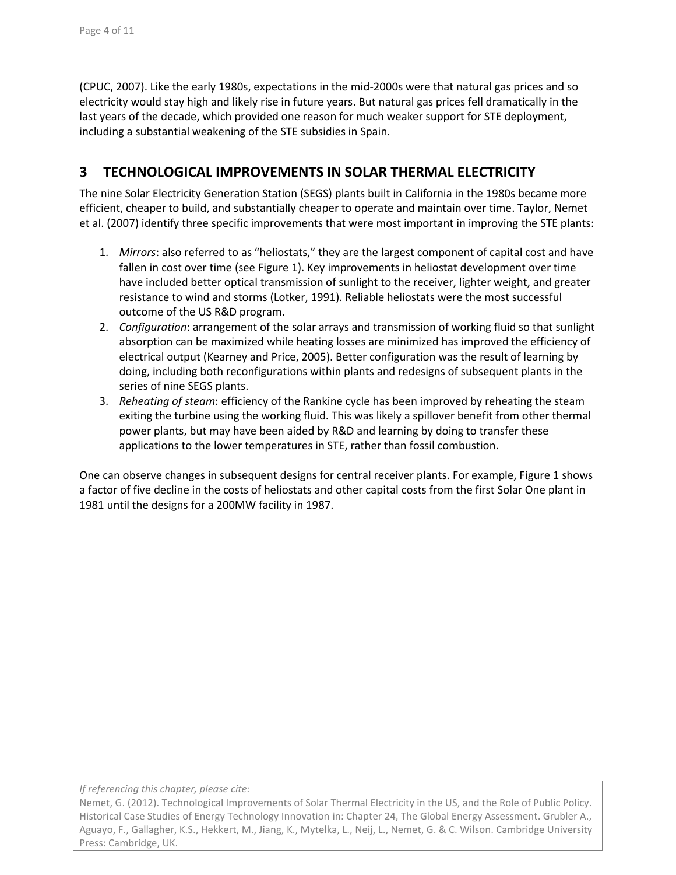[\(CPUC, 2007\)](#page-10-4). Like the early 1980s, expectations in the mid-2000s were that natural gas prices and so electricity would stay high and likely rise in future years. But natural gas prices fell dramatically in the last years of the decade, which provided one reason for much weaker support for STE deployment, including a substantial weakening of the STE subsidies in Spain.

# **3 TECHNOLOGICAL IMPROVEMENTS IN SOLAR THERMAL ELECTRICITY**

The nine Solar Electricity Generation Station (SEGS) plants built in California in the 1980s became more efficient, cheaper to build, and substantially cheaper to operate and maintain over time. Taylor, Nemet et al. [\(2007\)](#page-10-5) identify three specific improvements that were most important in improving the STE plants:

- 1. *Mirrors*: also referred to as "heliostats," they are the largest component of capital cost and have fallen in cost over time (see Figure 1). Key improvements in heliostat development over time have included better optical transmission of sunlight to the receiver, lighter weight, and greater resistance to wind and storms [\(Lotker, 1991\)](#page-10-6). Reliable heliostats were the most successful outcome of the US R&D program.
- 2. *Configuration*: arrangement of the solar arrays and transmission of working fluid so that sunlight absorption can be maximized while heating losses are minimized has improved the efficiency of electrical output [\(Kearney and Price, 2005\)](#page-10-7). Better configuration was the result of learning by doing, including both reconfigurations within plants and redesigns of subsequent plants in the series of nine SEGS plants.
- 3. *Reheating of steam*: efficiency of the Rankine cycle has been improved by reheating the steam exiting the turbine using the working fluid. This was likely a spillover benefit from other thermal power plants, but may have been aided by R&D and learning by doing to transfer these applications to the lower temperatures in STE, rather than fossil combustion.

One can observe changes in subsequent designs for central receiver plants. For example, Figure 1 shows a factor of five decline in the costs of heliostats and other capital costs from the first Solar One plant in 1981 until the designs for a 200MW facility in 1987.

*If referencing this chapter, please cite:*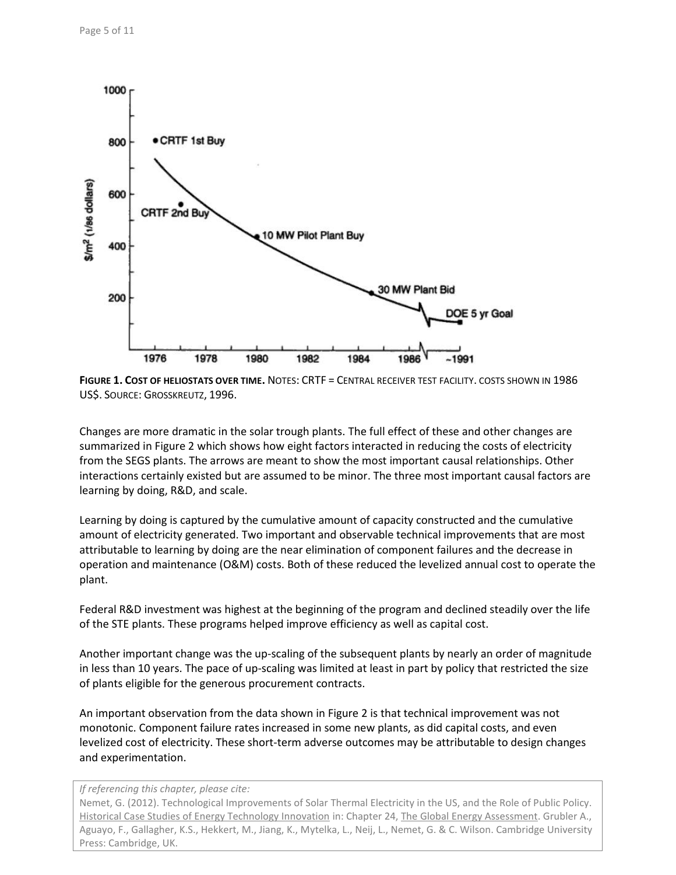

**FIGURE 1. COST OF HELIOSTATS OVER TIME.** NOTES: CRTF = CENTRAL RECEIVER TEST FACILITY. COSTS SHOWN IN 1986 US\$. SOURCE: G[ROSSKREUTZ](#page-10-8), 1996.

Changes are more dramatic in the solar trough plants. The full effect of these and other changes are summarized in Figure 2 which shows how eight factors interacted in reducing the costs of electricity from the SEGS plants. The arrows are meant to show the most important causal relationships. Other interactions certainly existed but are assumed to be minor. The three most important causal factors are learning by doing, R&D, and scale.

Learning by doing is captured by the cumulative amount of capacity constructed and the cumulative amount of electricity generated. Two important and observable technical improvements that are most attributable to learning by doing are the near elimination of component failures and the decrease in operation and maintenance (O&M) costs. Both of these reduced the levelized annual cost to operate the plant.

Federal R&D investment was highest at the beginning of the program and declined steadily over the life of the STE plants. These programs helped improve efficiency as well as capital cost.

Another important change was the up-scaling of the subsequent plants by nearly an order of magnitude in less than 10 years. The pace of up-scaling was limited at least in part by policy that restricted the size of plants eligible for the generous procurement contracts.

An important observation from the data shown in Figure 2 is that technical improvement was not monotonic. Component failure rates increased in some new plants, as did capital costs, and even levelized cost of electricity. These short-term adverse outcomes may be attributable to design changes and experimentation.

*If referencing this chapter, please cite:*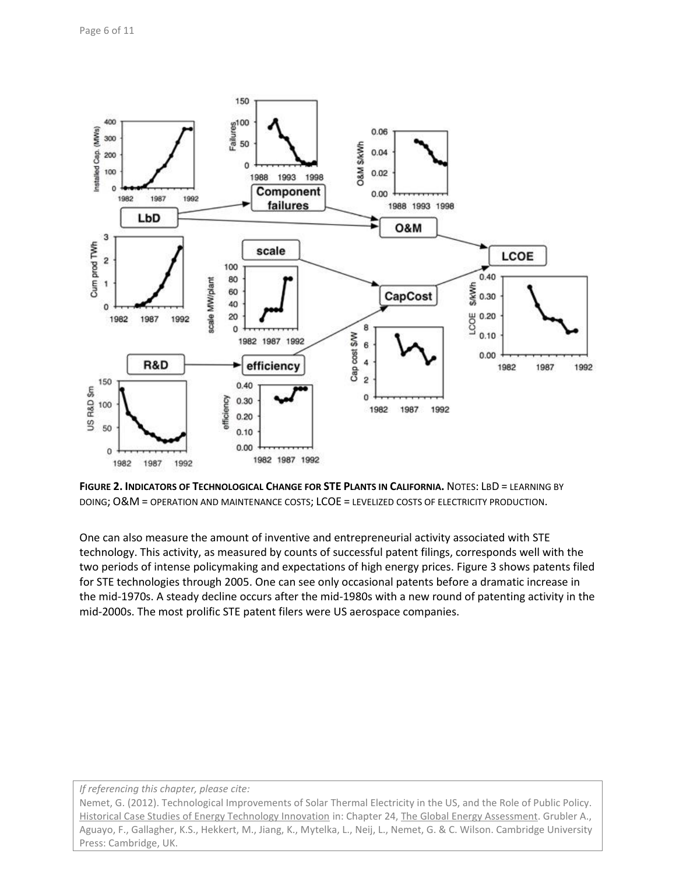

**FIGURE 2. INDICATORS OF TECHNOLOGICAL CHANGE FOR STE PLANTS IN CALIFORNIA.** NOTES: LBD = LEARNING BY DOING; O&M = OPERATION AND MAINTENANCE COSTS; LCOE = LEVELIZED COSTS OF ELECTRICITY PRODUCTION.

One can also measure the amount of inventive and entrepreneurial activity associated with STE technology. This activity, as measured by counts of successful patent filings, corresponds well with the two periods of intense policymaking and expectations of high energy prices. Figure 3 shows patents filed for STE technologies through 2005. One can see only occasional patents before a dramatic increase in the mid-1970s. A steady decline occurs after the mid-1980s with a new round of patenting activity in the mid-2000s. The most prolific STE patent filers were US aerospace companies.

#### *If referencing this chapter, please cite:*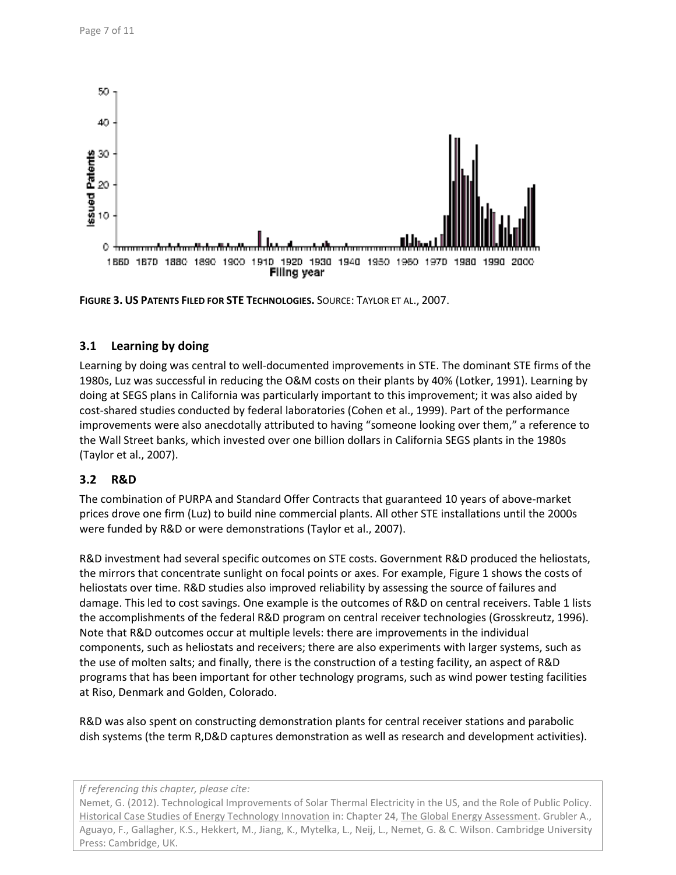

**FIGURE 3. US PATENTS FILED FOR STE TECHNOLOGIES.** SOURCE: T[AYLOR ET AL](#page-10-5)., 2007.

### **3.1 Learning by doing**

Learning by doing was central to well-documented improvements in STE. The dominant STE firms of the 1980s, Luz was successful in reducing the O&M costs on their plants by 40% [\(Lotker, 1991\)](#page-10-6). Learning by doing at SEGS plans in California was particularly important to this improvement; it was also aided by cost-shared studies conducted by federal laboratories [\(Cohen et al., 1999\)](#page-10-9). Part of the performance improvements were also anecdotally attributed to having "someone looking over them," a reference to the Wall Street banks, which invested over one billion dollars in California SEGS plants in the 1980s [\(Taylor et al., 2007\)](#page-10-5).

# **3.2 R&D**

The combination of PURPA and Standard Offer Contracts that guaranteed 10 years of above-market prices drove one firm (Luz) to build nine commercial plants. All other STE installations until the 2000s were funded by R&D or were demonstrations [\(Taylor et al., 2007\)](#page-10-5).

R&D investment had several specific outcomes on STE costs. Government R&D produced the heliostats, the mirrors that concentrate sunlight on focal points or axes. For example, Figure 1 shows the costs of heliostats over time. R&D studies also improved reliability by assessing the source of failures and damage. This led to cost savings. One example is the outcomes of R&D on central receivers. Table 1 lists the accomplishments of the federal R&D program on central receiver technologies [\(Grosskreutz, 1996\)](#page-10-8). Note that R&D outcomes occur at multiple levels: there are improvements in the individual components, such as heliostats and receivers; there are also experiments with larger systems, such as the use of molten salts; and finally, there is the construction of a testing facility, an aspect of R&D programs that has been important for other technology programs, such as wind power testing facilities at Riso, Denmark and Golden, Colorado.

R&D was also spent on constructing demonstration plants for central receiver stations and parabolic dish systems (the term R,D&D captures demonstration as well as research and development activities).

*If referencing this chapter, please cite:*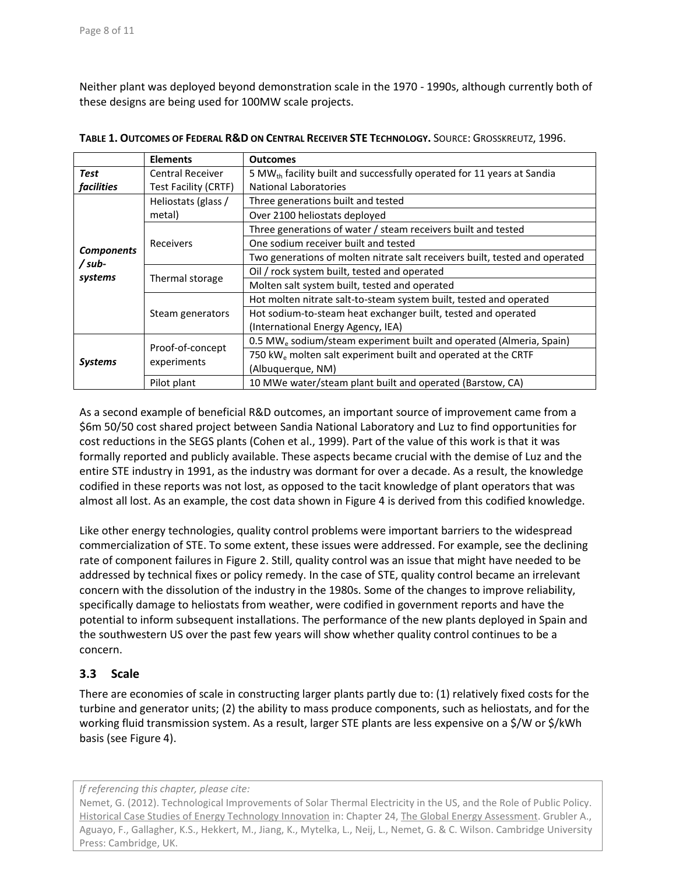Neither plant was deployed beyond demonstration scale in the 1970 - 1990s, although currently both of these designs are being used for 100MW scale projects.

|                                       | <b>Elements</b>                 | <b>Outcomes</b>                                                                    |
|---------------------------------------|---------------------------------|------------------------------------------------------------------------------------|
| Test                                  | <b>Central Receiver</b>         | 5 MW <sub>th</sub> facility built and successfully operated for 11 years at Sandia |
| <i>facilities</i>                     | Test Facility (CRTF)            | <b>National Laboratories</b>                                                       |
| <b>Components</b><br>/sub-<br>systems | Heliostats (glass /<br>metal)   | Three generations built and tested                                                 |
|                                       |                                 | Over 2100 heliostats deployed                                                      |
|                                       | Receivers                       | Three generations of water / steam receivers built and tested                      |
|                                       |                                 | One sodium receiver built and tested                                               |
|                                       |                                 | Two generations of molten nitrate salt receivers built, tested and operated        |
|                                       | Thermal storage                 | Oil / rock system built, tested and operated                                       |
|                                       |                                 | Molten salt system built, tested and operated                                      |
|                                       | Steam generators                | Hot molten nitrate salt-to-steam system built, tested and operated                 |
|                                       |                                 | Hot sodium-to-steam heat exchanger built, tested and operated                      |
|                                       |                                 | (International Energy Agency, IEA)                                                 |
| <b>Systems</b>                        | Proof-of-concept<br>experiments | 0.5 MW <sub>e</sub> sodium/steam experiment built and operated (Almeria, Spain)    |
|                                       |                                 | 750 kW <sub>e</sub> molten salt experiment built and operated at the CRTF          |
|                                       |                                 | (Albuquerque, NM)                                                                  |
|                                       | Pilot plant                     | 10 MWe water/steam plant built and operated (Barstow, CA)                          |

**TABLE 1. OUTCOMES OF FEDERAL R&D ON CENTRAL RECEIVER STE TECHNOLOGY.** SOURCE: G[ROSSKREUTZ](#page-10-8), 1996.

As a second example of beneficial R&D outcomes, an important source of improvement came from a \$6m 50/50 cost shared project between Sandia National Laboratory and Luz to find opportunities for cost reductions in the SEGS plants [\(Cohen et al., 1999\)](#page-10-9). Part of the value of this work is that it was formally reported and publicly available. These aspects became crucial with the demise of Luz and the entire STE industry in 1991, as the industry was dormant for over a decade. As a result, the knowledge codified in these reports was not lost, as opposed to the tacit knowledge of plant operators that was almost all lost. As an example, the cost data shown in Figure 4 is derived from this codified knowledge.

Like other energy technologies, quality control problems were important barriers to the widespread commercialization of STE. To some extent, these issues were addressed. For example, see the declining rate of component failures in Figure 2. Still, quality control was an issue that might have needed to be addressed by technical fixes or policy remedy. In the case of STE, quality control became an irrelevant concern with the dissolution of the industry in the 1980s. Some of the changes to improve reliability, specifically damage to heliostats from weather, were codified in government reports and have the potential to inform subsequent installations. The performance of the new plants deployed in Spain and the southwestern US over the past few years will show whether quality control continues to be a concern.

### **3.3 Scale**

There are economies of scale in constructing larger plants partly due to: (1) relatively fixed costs for the turbine and generator units; (2) the ability to mass produce components, such as heliostats, and for the working fluid transmission system. As a result, larger STE plants are less expensive on a \$/W or \$/kWh basis (see Figure 4).

*If referencing this chapter, please cite:*

Nemet, G. (2012). Technological Improvements of Solar Thermal Electricity in the US, and the Role of Public Policy. Historical Case Studies of Energy Technology Innovation in: Chapter 24, The Global Energy Assessment. Grubler A., Aguayo, F., Gallagher, K.S., Hekkert, M., Jiang, K., Mytelka, L., Neij, L., Nemet, G. & C. Wilson. Cambridge University Press: Cambridge, UK.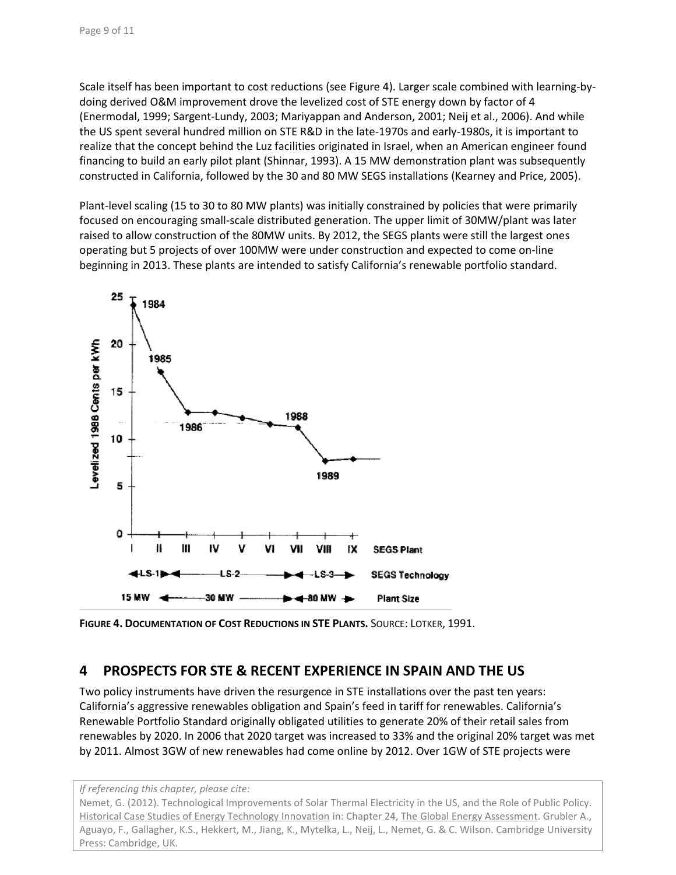Scale itself has been important to cost reductions (see Figure 4). Larger scale combined with learning-bydoing derived O&M improvement drove the levelized cost of STE energy down by factor of 4 [\(Enermodal, 1999;](#page-10-10) [Sargent-Lundy, 2003;](#page-10-11) [Mariyappan and Anderson, 2001;](#page-10-12) [Neij et al., 2006\)](#page-10-13). And while the US spent several hundred million on STE R&D in the late-1970s and early-1980s, it is important to realize that the concept behind the Luz facilities originated in Israel, when an American engineer found financing to build an early pilot plant [\(Shinnar, 1993\)](#page-10-14). A 15 MW demonstration plant was subsequently constructed in California, followed by the 30 and 80 MW SEGS installations [\(Kearney and Price, 2005\)](#page-10-7).

Plant-level scaling (15 to 30 to 80 MW plants) was initially constrained by policies that were primarily focused on encouraging small-scale distributed generation. The upper limit of 30MW/plant was later raised to allow construction of the 80MW units. By 2012, the SEGS plants were still the largest ones operating but 5 projects of over 100MW were under construction and expected to come on-line beginning in 2013. These plants are intended to satisfy California's renewable portfolio standard.



**FIGURE 4. DOCUMENTATION OF COST REDUCTIONS IN STE PLANTS.** SOURCE: LOTKER, [1991.](#page-10-6)

# **4 PROSPECTS FOR STE & RECENT EXPERIENCE IN SPAIN AND THE US**

Two policy instruments have driven the resurgence in STE installations over the past ten years: California's aggressive renewables obligation and Spain's feed in tariff for renewables. California's Renewable Portfolio Standard originally obligated utilities to generate 20% of their retail sales from renewables by 2020. In 2006 that 2020 target was increased to 33% and the original 20% target was met by 2011. Almost 3GW of new renewables had come online by 2012. Over 1GW of STE projects were

*If referencing this chapter, please cite:*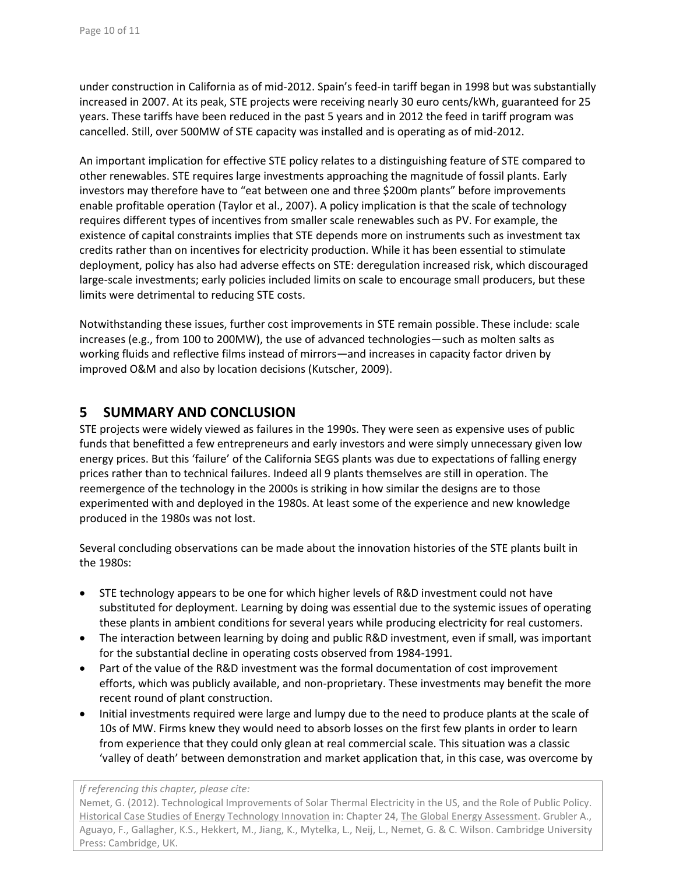under construction in California as of mid-2012. Spain's feed-in tariff began in 1998 but was substantially increased in 2007. At its peak, STE projects were receiving nearly 30 euro cents/kWh, guaranteed for 25 years. These tariffs have been reduced in the past 5 years and in 2012 the feed in tariff program was cancelled. Still, over 500MW of STE capacity was installed and is operating as of mid-2012.

An important implication for effective STE policy relates to a distinguishing feature of STE compared to other renewables. STE requires large investments approaching the magnitude of fossil plants. Early investors may therefore have to "eat between one and three \$200m plants" before improvements enable profitable operation [\(Taylor et al., 2007\)](#page-10-5). A policy implication is that the scale of technology requires different types of incentives from smaller scale renewables such as PV. For example, the existence of capital constraints implies that STE depends more on instruments such as investment tax credits rather than on incentives for electricity production. While it has been essential to stimulate deployment, policy has also had adverse effects on STE: deregulation increased risk, which discouraged large-scale investments; early policies included limits on scale to encourage small producers, but these limits were detrimental to reducing STE costs.

Notwithstanding these issues, further cost improvements in STE remain possible. These include: scale increases (e.g., from 100 to 200MW), the use of advanced technologies—such as molten salts as working fluids and reflective films instead of mirrors—and increases in capacity factor driven by improved O&M and also by location decisions [\(Kutscher, 2009\)](#page-10-15).

# **5 SUMMARY AND CONCLUSION**

STE projects were widely viewed as failures in the 1990s. They were seen as expensive uses of public funds that benefitted a few entrepreneurs and early investors and were simply unnecessary given low energy prices. But this 'failure' of the California SEGS plants was due to expectations of falling energy prices rather than to technical failures. Indeed all 9 plants themselves are still in operation. The reemergence of the technology in the 2000s is striking in how similar the designs are to those experimented with and deployed in the 1980s. At least some of the experience and new knowledge produced in the 1980s was not lost.

Several concluding observations can be made about the innovation histories of the STE plants built in the 1980s:

- STE technology appears to be one for which higher levels of R&D investment could not have substituted for deployment. Learning by doing was essential due to the systemic issues of operating these plants in ambient conditions for several years while producing electricity for real customers.
- The interaction between learning by doing and public R&D investment, even if small, was important for the substantial decline in operating costs observed from 1984-1991.
- Part of the value of the R&D investment was the formal documentation of cost improvement efforts, which was publicly available, and non-proprietary. These investments may benefit the more recent round of plant construction.
- Initial investments required were large and lumpy due to the need to produce plants at the scale of 10s of MW. Firms knew they would need to absorb losses on the first few plants in order to learn from experience that they could only glean at real commercial scale. This situation was a classic 'valley of death' between demonstration and market application that, in this case, was overcome by

#### *If referencing this chapter, please cite:*